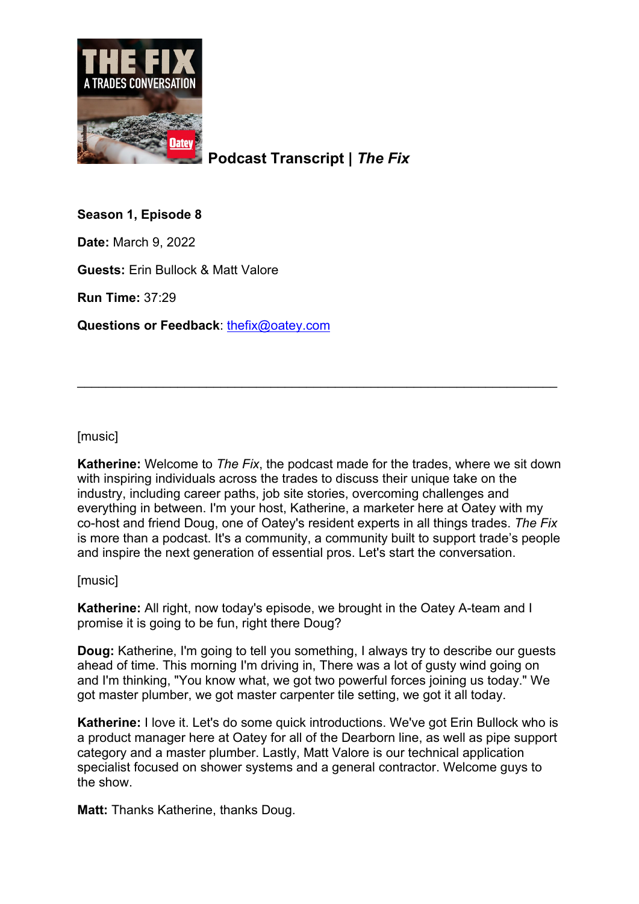

**Podcast Transcript |** *The Fix*

**Season 1, Episode 8**

**Date:** March 9, 2022

**Guests:** Erin Bullock & Matt Valore

**Run Time:** 37:29

**Questions or Feedback**: [thefix@oatey.com](mailto:thefix@oatey.com)

[music]

**Katherine:** Welcome to *The Fix*, the podcast made for the trades, where we sit down with inspiring individuals across the trades to discuss their unique take on the industry, including career paths, job site stories, overcoming challenges and everything in between. I'm your host, Katherine, a marketer here at Oatey with my co-host and friend Doug, one of Oatey's resident experts in all things trades. *The Fix* is more than a podcast. It's a community, a community built to support trade's people and inspire the next generation of essential pros. Let's start the conversation.

\_\_\_\_\_\_\_\_\_\_\_\_\_\_\_\_\_\_\_\_\_\_\_\_\_\_\_\_\_\_\_\_\_\_\_\_\_\_\_\_\_\_\_\_\_\_\_\_\_\_\_\_\_\_\_\_\_\_\_\_\_\_\_\_\_\_\_

[music]

**Katherine:** All right, now today's episode, we brought in the Oatey A-team and I promise it is going to be fun, right there Doug?

**Doug:** Katherine, I'm going to tell you something, I always try to describe our guests ahead of time. This morning I'm driving in, There was a lot of gusty wind going on and I'm thinking, "You know what, we got two powerful forces joining us today." We got master plumber, we got master carpenter tile setting, we got it all today.

**Katherine:** I love it. Let's do some quick introductions. We've got Erin Bullock who is a product manager here at Oatey for all of the Dearborn line, as well as pipe support category and a master plumber. Lastly, Matt Valore is our technical application specialist focused on shower systems and a general contractor. Welcome guys to the show.

**Matt:** Thanks Katherine, thanks Doug.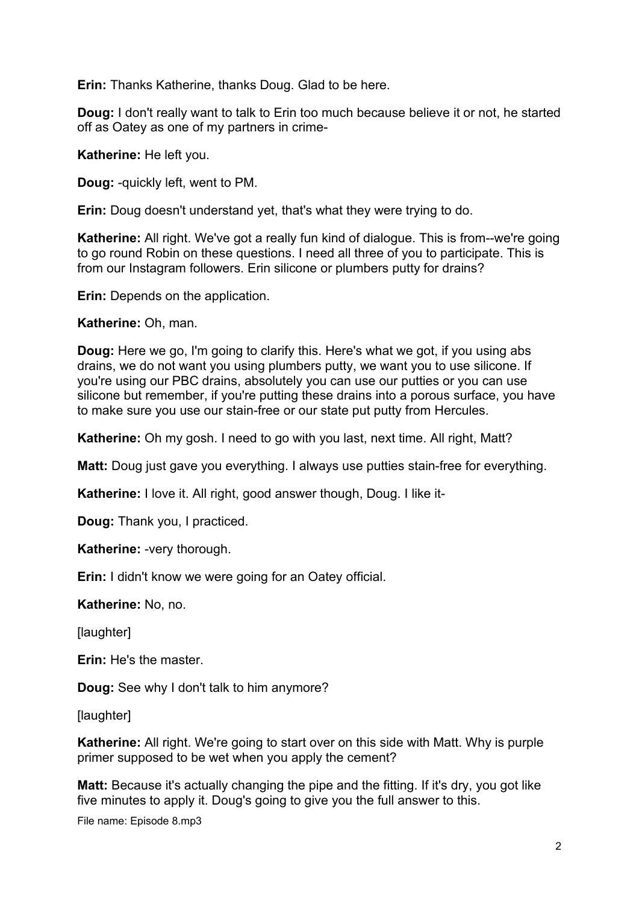**Erin:** Thanks Katherine, thanks Doug. Glad to be here.

**Doug:** I don't really want to talk to Erin too much because believe it or not, he started off as Oatey as one of my partners in crime-

**Katherine:** He left you.

**Doug:** -quickly left, went to PM.

**Erin:** Doug doesn't understand yet, that's what they were trying to do.

**Katherine:** All right. We've got a really fun kind of dialogue. This is from--we're going to go round Robin on these questions. I need all three of you to participate. This is from our Instagram followers. Erin silicone or plumbers putty for drains?

**Erin:** Depends on the application.

**Katherine:** Oh, man.

**Doug:** Here we go, I'm going to clarify this. Here's what we got, if you using abs drains, we do not want you using plumbers putty, we want you to use silicone. If you're using our PBC drains, absolutely you can use our putties or you can use silicone but remember, if you're putting these drains into a porous surface, you have to make sure you use our stain-free or our state put putty from Hercules.

**Katherine:** Oh my gosh. I need to go with you last, next time. All right, Matt?

**Matt:** Doug just gave you everything. I always use putties stain-free for everything.

**Katherine:** I love it. All right, good answer though, Doug. I like it-

**Doug:** Thank you, I practiced.

**Katherine:** -very thorough.

**Erin:** I didn't know we were going for an Oatey official.

**Katherine:** No, no.

[laughter]

**Erin:** He's the master.

**Doug:** See why I don't talk to him anymore?

[laughter]

**Katherine:** All right. We're going to start over on this side with Matt. Why is purple primer supposed to be wet when you apply the cement?

**Matt:** Because it's actually changing the pipe and the fitting. If it's dry, you got like five minutes to apply it. Doug's going to give you the full answer to this.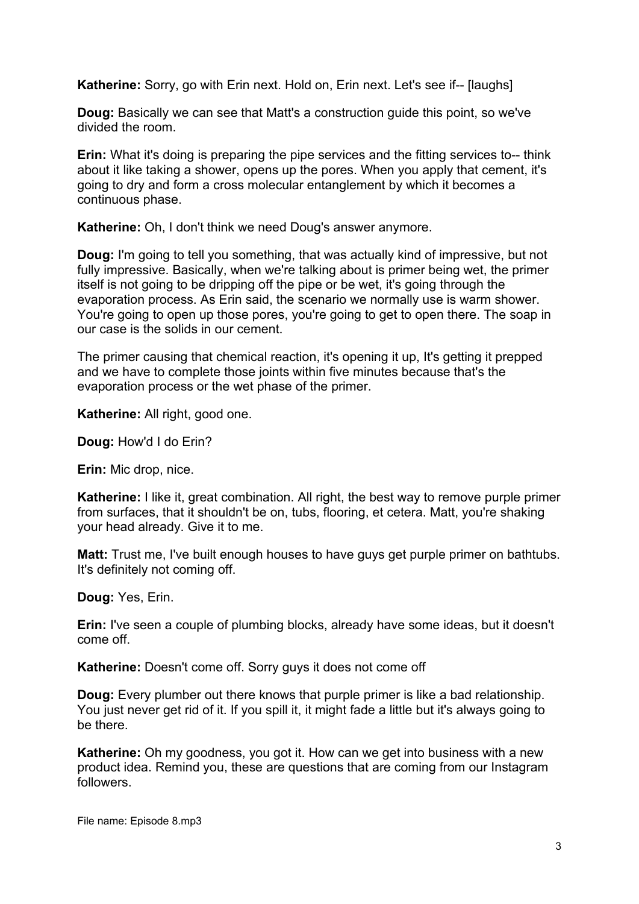**Katherine:** Sorry, go with Erin next. Hold on, Erin next. Let's see if-- [laughs]

**Doug:** Basically we can see that Matt's a construction guide this point, so we've divided the room.

**Erin:** What it's doing is preparing the pipe services and the fitting services to-- think about it like taking a shower, opens up the pores. When you apply that cement, it's going to dry and form a cross molecular entanglement by which it becomes a continuous phase.

**Katherine:** Oh, I don't think we need Doug's answer anymore.

**Doug:** I'm going to tell you something, that was actually kind of impressive, but not fully impressive. Basically, when we're talking about is primer being wet, the primer itself is not going to be dripping off the pipe or be wet, it's going through the evaporation process. As Erin said, the scenario we normally use is warm shower. You're going to open up those pores, you're going to get to open there. The soap in our case is the solids in our cement.

The primer causing that chemical reaction, it's opening it up, It's getting it prepped and we have to complete those joints within five minutes because that's the evaporation process or the wet phase of the primer.

**Katherine:** All right, good one.

**Doug:** How'd I do Erin?

**Erin:** Mic drop, nice.

**Katherine:** I like it, great combination. All right, the best way to remove purple primer from surfaces, that it shouldn't be on, tubs, flooring, et cetera. Matt, you're shaking your head already. Give it to me.

**Matt:** Trust me, I've built enough houses to have guys get purple primer on bathtubs. It's definitely not coming off.

**Doug:** Yes, Erin.

**Erin:** I've seen a couple of plumbing blocks, already have some ideas, but it doesn't come off.

**Katherine:** Doesn't come off. Sorry guys it does not come off

**Doug:** Every plumber out there knows that purple primer is like a bad relationship. You just never get rid of it. If you spill it, it might fade a little but it's always going to be there.

**Katherine:** Oh my goodness, you got it. How can we get into business with a new product idea. Remind you, these are questions that are coming from our Instagram followers.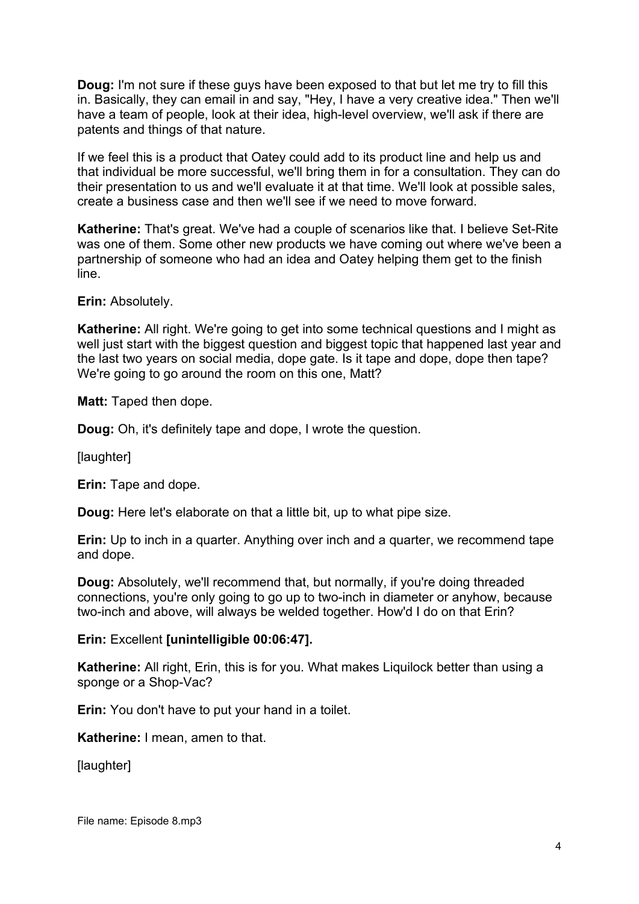**Doug:** I'm not sure if these guys have been exposed to that but let me try to fill this in. Basically, they can email in and say, "Hey, I have a very creative idea." Then we'll have a team of people, look at their idea, high-level overview, we'll ask if there are patents and things of that nature.

If we feel this is a product that Oatey could add to its product line and help us and that individual be more successful, we'll bring them in for a consultation. They can do their presentation to us and we'll evaluate it at that time. We'll look at possible sales, create a business case and then we'll see if we need to move forward.

**Katherine:** That's great. We've had a couple of scenarios like that. I believe Set-Rite was one of them. Some other new products we have coming out where we've been a partnership of someone who had an idea and Oatey helping them get to the finish line.

**Erin: Absolutely.** 

**Katherine:** All right. We're going to get into some technical questions and I might as well just start with the biggest question and biggest topic that happened last year and the last two years on social media, dope gate. Is it tape and dope, dope then tape? We're going to go around the room on this one, Matt?

**Matt:** Taped then dope.

**Doug:** Oh, it's definitely tape and dope, I wrote the question.

[laughter]

**Erin:** Tape and dope.

**Doug:** Here let's elaborate on that a little bit, up to what pipe size.

**Erin:** Up to inch in a quarter. Anything over inch and a quarter, we recommend tape and dope.

**Doug:** Absolutely, we'll recommend that, but normally, if you're doing threaded connections, you're only going to go up to two-inch in diameter or anyhow, because two-inch and above, will always be welded together. How'd I do on that Erin?

#### **Erin:** Excellent **[unintelligible 00:06:47].**

**Katherine:** All right, Erin, this is for you. What makes Liquilock better than using a sponge or a Shop-Vac?

**Erin:** You don't have to put your hand in a toilet.

**Katherine:** I mean, amen to that.

[laughter]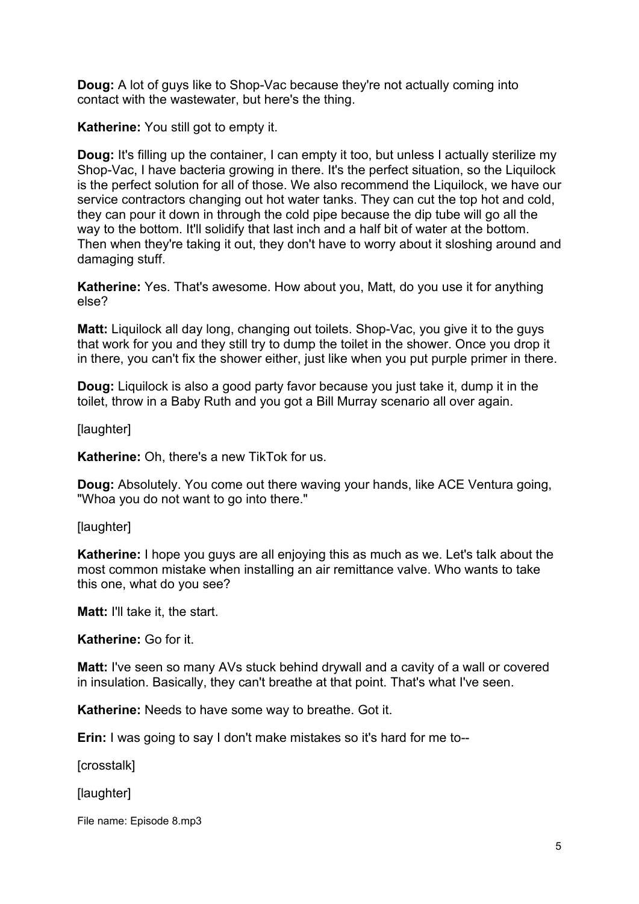**Doug:** A lot of guys like to Shop-Vac because they're not actually coming into contact with the wastewater, but here's the thing.

**Katherine:** You still got to empty it.

**Doug:** It's filling up the container, I can empty it too, but unless I actually sterilize my Shop-Vac, I have bacteria growing in there. It's the perfect situation, so the Liquilock is the perfect solution for all of those. We also recommend the Liquilock, we have our service contractors changing out hot water tanks. They can cut the top hot and cold, they can pour it down in through the cold pipe because the dip tube will go all the way to the bottom. It'll solidify that last inch and a half bit of water at the bottom. Then when they're taking it out, they don't have to worry about it sloshing around and damaging stuff.

**Katherine:** Yes. That's awesome. How about you, Matt, do you use it for anything else?

**Matt:** Liquilock all day long, changing out toilets. Shop-Vac, you give it to the guys that work for you and they still try to dump the toilet in the shower. Once you drop it in there, you can't fix the shower either, just like when you put purple primer in there.

**Doug:** Liquilock is also a good party favor because you just take it, dump it in the toilet, throw in a Baby Ruth and you got a Bill Murray scenario all over again.

[laughter]

**Katherine:** Oh, there's a new TikTok for us.

**Doug:** Absolutely. You come out there waving your hands, like ACE Ventura going, "Whoa you do not want to go into there."

[laughter]

**Katherine:** I hope you guys are all enjoying this as much as we. Let's talk about the most common mistake when installing an air remittance valve. Who wants to take this one, what do you see?

**Matt:** I'll take it, the start.

**Katherine:** Go for it.

**Matt:** I've seen so many AVs stuck behind drywall and a cavity of a wall or covered in insulation. Basically, they can't breathe at that point. That's what I've seen.

**Katherine:** Needs to have some way to breathe. Got it.

**Erin:** I was going to say I don't make mistakes so it's hard for me to--

[crosstalk]

[laughter]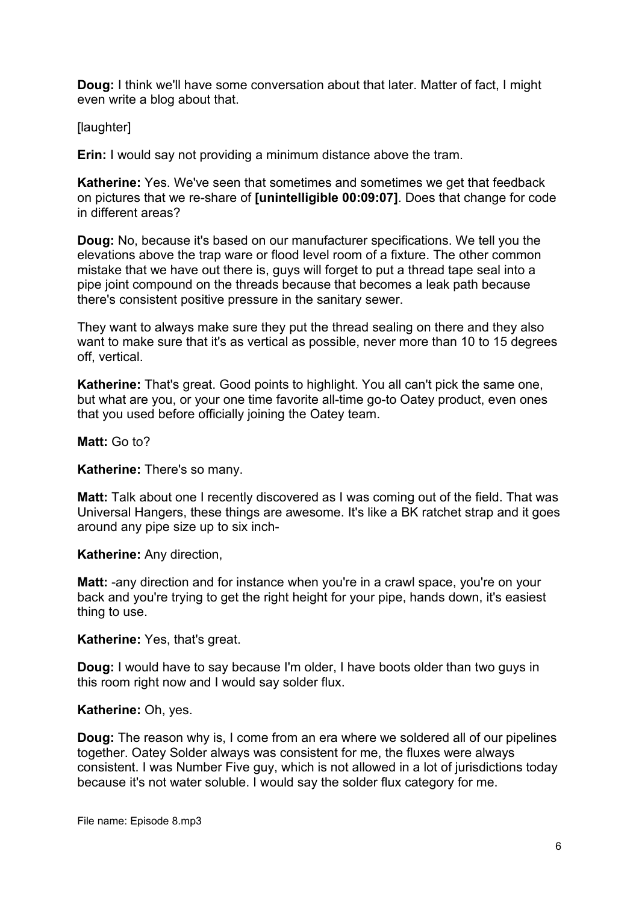**Doug:** I think we'll have some conversation about that later. Matter of fact, I might even write a blog about that.

[laughter]

**Erin:** I would say not providing a minimum distance above the tram.

**Katherine:** Yes. We've seen that sometimes and sometimes we get that feedback on pictures that we re-share of **[unintelligible 00:09:07]**. Does that change for code in different areas?

**Doug:** No, because it's based on our manufacturer specifications. We tell you the elevations above the trap ware or flood level room of a fixture. The other common mistake that we have out there is, guys will forget to put a thread tape seal into a pipe joint compound on the threads because that becomes a leak path because there's consistent positive pressure in the sanitary sewer.

They want to always make sure they put the thread sealing on there and they also want to make sure that it's as vertical as possible, never more than 10 to 15 degrees off, vertical.

**Katherine:** That's great. Good points to highlight. You all can't pick the same one, but what are you, or your one time favorite all-time go-to Oatey product, even ones that you used before officially joining the Oatey team.

**Matt:** Go to?

**Katherine:** There's so many.

**Matt:** Talk about one I recently discovered as I was coming out of the field. That was Universal Hangers, these things are awesome. It's like a BK ratchet strap and it goes around any pipe size up to six inch-

**Katherine:** Any direction,

**Matt:** -any direction and for instance when you're in a crawl space, you're on your back and you're trying to get the right height for your pipe, hands down, it's easiest thing to use.

**Katherine:** Yes, that's great.

**Doug:** I would have to say because I'm older, I have boots older than two guys in this room right now and I would say solder flux.

**Katherine:** Oh, yes.

**Doug:** The reason why is, I come from an era where we soldered all of our pipelines together. Oatey Solder always was consistent for me, the fluxes were always consistent. I was Number Five guy, which is not allowed in a lot of jurisdictions today because it's not water soluble. I would say the solder flux category for me.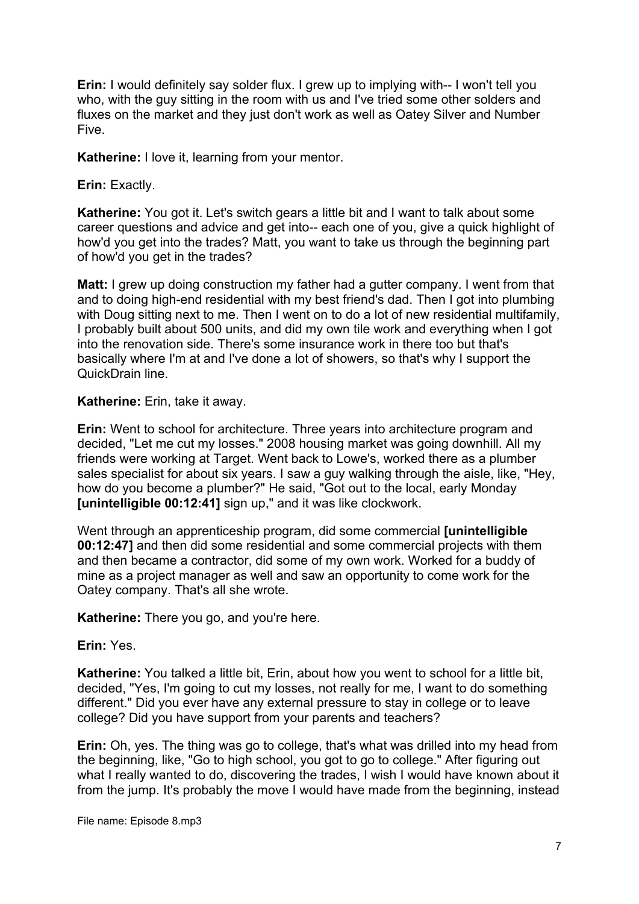**Erin:** I would definitely say solder flux. I grew up to implying with-- I won't tell you who, with the guy sitting in the room with us and I've tried some other solders and fluxes on the market and they just don't work as well as Oatey Silver and Number Five.

**Katherine:** I love it, learning from your mentor.

**Erin:** Exactly.

**Katherine:** You got it. Let's switch gears a little bit and I want to talk about some career questions and advice and get into-- each one of you, give a quick highlight of how'd you get into the trades? Matt, you want to take us through the beginning part of how'd you get in the trades?

**Matt:** I grew up doing construction my father had a gutter company. I went from that and to doing high-end residential with my best friend's dad. Then I got into plumbing with Doug sitting next to me. Then I went on to do a lot of new residential multifamily, I probably built about 500 units, and did my own tile work and everything when I got into the renovation side. There's some insurance work in there too but that's basically where I'm at and I've done a lot of showers, so that's why I support the QuickDrain line.

## **Katherine:** Erin, take it away.

**Erin:** Went to school for architecture. Three years into architecture program and decided, "Let me cut my losses." 2008 housing market was going downhill. All my friends were working at Target. Went back to Lowe's, worked there as a plumber sales specialist for about six years. I saw a guy walking through the aisle, like, "Hey, how do you become a plumber?" He said, "Got out to the local, early Monday **[unintelligible 00:12:41]** sign up," and it was like clockwork.

Went through an apprenticeship program, did some commercial **[unintelligible 00:12:47]** and then did some residential and some commercial projects with them and then became a contractor, did some of my own work. Worked for a buddy of mine as a project manager as well and saw an opportunity to come work for the Oatey company. That's all she wrote.

**Katherine:** There you go, and you're here.

**Erin:** Yes.

**Katherine:** You talked a little bit, Erin, about how you went to school for a little bit, decided, "Yes, I'm going to cut my losses, not really for me, I want to do something different." Did you ever have any external pressure to stay in college or to leave college? Did you have support from your parents and teachers?

**Erin:** Oh, yes. The thing was go to college, that's what was drilled into my head from the beginning, like, "Go to high school, you got to go to college." After figuring out what I really wanted to do, discovering the trades, I wish I would have known about it from the jump. It's probably the move I would have made from the beginning, instead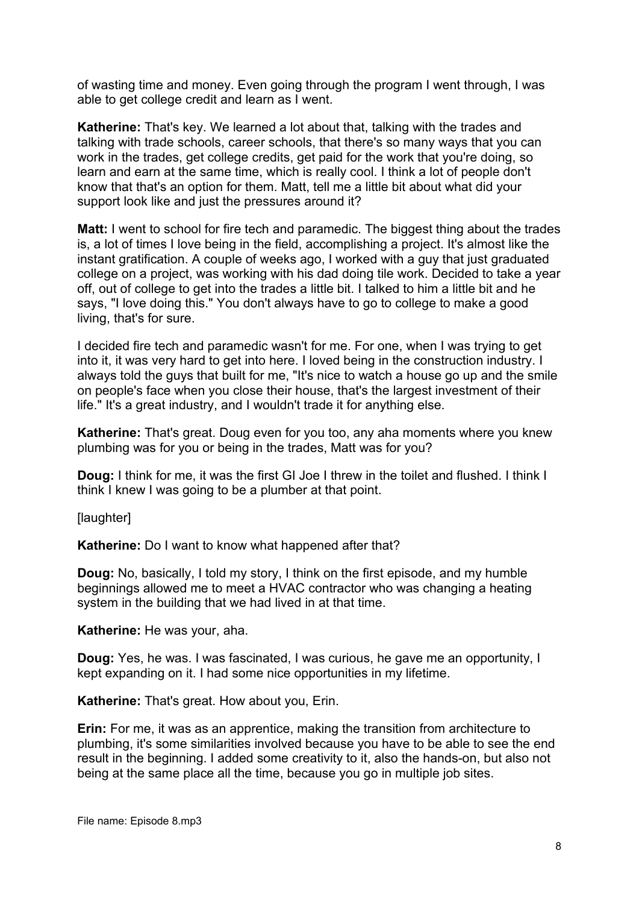of wasting time and money. Even going through the program I went through, I was able to get college credit and learn as I went.

**Katherine:** That's key. We learned a lot about that, talking with the trades and talking with trade schools, career schools, that there's so many ways that you can work in the trades, get college credits, get paid for the work that you're doing, so learn and earn at the same time, which is really cool. I think a lot of people don't know that that's an option for them. Matt, tell me a little bit about what did your support look like and just the pressures around it?

**Matt:** I went to school for fire tech and paramedic. The biggest thing about the trades is, a lot of times I love being in the field, accomplishing a project. It's almost like the instant gratification. A couple of weeks ago, I worked with a guy that just graduated college on a project, was working with his dad doing tile work. Decided to take a year off, out of college to get into the trades a little bit. I talked to him a little bit and he says, "I love doing this." You don't always have to go to college to make a good living, that's for sure.

I decided fire tech and paramedic wasn't for me. For one, when I was trying to get into it, it was very hard to get into here. I loved being in the construction industry. I always told the guys that built for me, "It's nice to watch a house go up and the smile on people's face when you close their house, that's the largest investment of their life." It's a great industry, and I wouldn't trade it for anything else.

**Katherine:** That's great. Doug even for you too, any aha moments where you knew plumbing was for you or being in the trades, Matt was for you?

**Doug:** I think for me, it was the first GI Joe I threw in the toilet and flushed. I think I think I knew I was going to be a plumber at that point.

[laughter]

**Katherine:** Do I want to know what happened after that?

**Doug:** No, basically, I told my story, I think on the first episode, and my humble beginnings allowed me to meet a HVAC contractor who was changing a heating system in the building that we had lived in at that time.

**Katherine:** He was your, aha.

**Doug:** Yes, he was. I was fascinated, I was curious, he gave me an opportunity, I kept expanding on it. I had some nice opportunities in my lifetime.

**Katherine:** That's great. How about you, Erin.

**Erin:** For me, it was as an apprentice, making the transition from architecture to plumbing, it's some similarities involved because you have to be able to see the end result in the beginning. I added some creativity to it, also the hands-on, but also not being at the same place all the time, because you go in multiple job sites.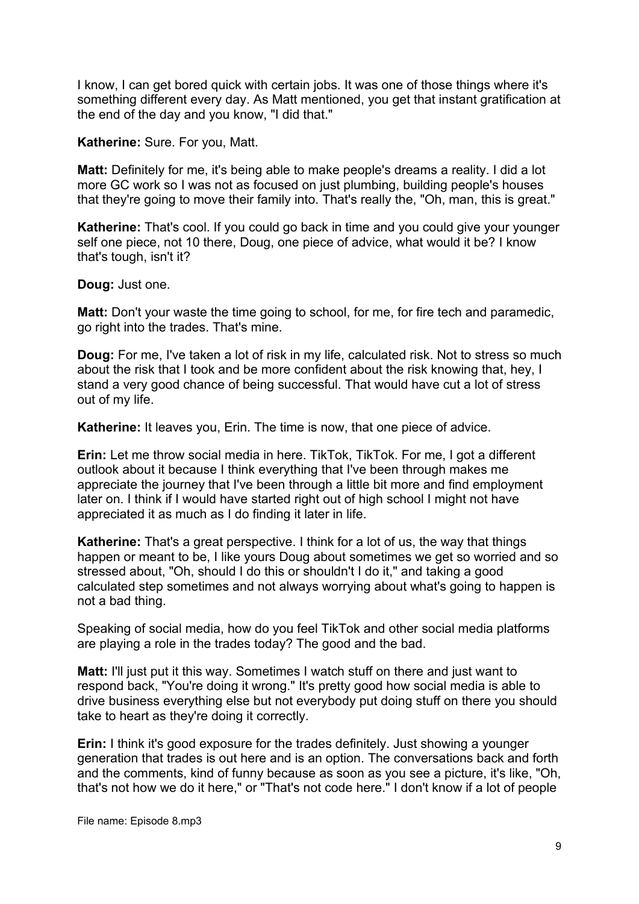I know, I can get bored quick with certain jobs. It was one of those things where it's something different every day. As Matt mentioned, you get that instant gratification at the end of the day and you know, "I did that."

**Katherine:** Sure. For you, Matt.

**Matt:** Definitely for me, it's being able to make people's dreams a reality. I did a lot more GC work so I was not as focused on just plumbing, building people's houses that they're going to move their family into. That's really the, "Oh, man, this is great."

**Katherine:** That's cool. If you could go back in time and you could give your younger self one piece, not 10 there, Doug, one piece of advice, what would it be? I know that's tough, isn't it?

**Doug:** Just one.

**Matt:** Don't your waste the time going to school, for me, for fire tech and paramedic, go right into the trades. That's mine.

**Doug:** For me, I've taken a lot of risk in my life, calculated risk. Not to stress so much about the risk that I took and be more confident about the risk knowing that, hey, I stand a very good chance of being successful. That would have cut a lot of stress out of my life.

**Katherine:** It leaves you, Erin. The time is now, that one piece of advice.

**Erin:** Let me throw social media in here. TikTok, TikTok. For me, I got a different outlook about it because I think everything that I've been through makes me appreciate the journey that I've been through a little bit more and find employment later on. I think if I would have started right out of high school I might not have appreciated it as much as I do finding it later in life.

**Katherine:** That's a great perspective. I think for a lot of us, the way that things happen or meant to be, I like yours Doug about sometimes we get so worried and so stressed about, "Oh, should I do this or shouldn't I do it," and taking a good calculated step sometimes and not always worrying about what's going to happen is not a bad thing.

Speaking of social media, how do you feel TikTok and other social media platforms are playing a role in the trades today? The good and the bad.

**Matt:** I'll just put it this way. Sometimes I watch stuff on there and just want to respond back, "You're doing it wrong." It's pretty good how social media is able to drive business everything else but not everybody put doing stuff on there you should take to heart as they're doing it correctly.

**Erin:** I think it's good exposure for the trades definitely. Just showing a younger generation that trades is out here and is an option. The conversations back and forth and the comments, kind of funny because as soon as you see a picture, it's like, "Oh, that's not how we do it here," or "That's not code here." I don't know if a lot of people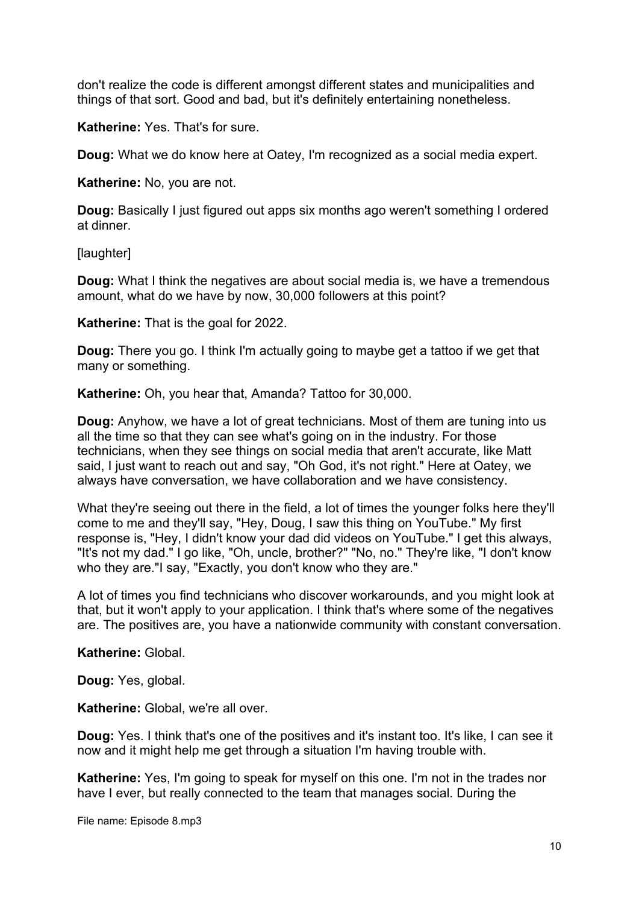don't realize the code is different amongst different states and municipalities and things of that sort. Good and bad, but it's definitely entertaining nonetheless.

**Katherine:** Yes. That's for sure.

**Doug:** What we do know here at Oatey, I'm recognized as a social media expert.

**Katherine:** No, you are not.

**Doug:** Basically I just figured out apps six months ago weren't something I ordered at dinner.

[laughter]

**Doug:** What I think the negatives are about social media is, we have a tremendous amount, what do we have by now, 30,000 followers at this point?

**Katherine:** That is the goal for 2022.

**Doug:** There you go. I think I'm actually going to maybe get a tattoo if we get that many or something.

**Katherine:** Oh, you hear that, Amanda? Tattoo for 30,000.

**Doug:** Anyhow, we have a lot of great technicians. Most of them are tuning into us all the time so that they can see what's going on in the industry. For those technicians, when they see things on social media that aren't accurate, like Matt said, I just want to reach out and say, "Oh God, it's not right." Here at Oatey, we always have conversation, we have collaboration and we have consistency.

What they're seeing out there in the field, a lot of times the younger folks here they'll come to me and they'll say, "Hey, Doug, I saw this thing on YouTube." My first response is, "Hey, I didn't know your dad did videos on YouTube." I get this always, "It's not my dad." I go like, "Oh, uncle, brother?" "No, no." They're like, "I don't know who they are."I say, "Exactly, you don't know who they are."

A lot of times you find technicians who discover workarounds, and you might look at that, but it won't apply to your application. I think that's where some of the negatives are. The positives are, you have a nationwide community with constant conversation.

**Katherine:** Global.

**Doug:** Yes, global.

**Katherine:** Global, we're all over.

**Doug:** Yes. I think that's one of the positives and it's instant too. It's like, I can see it now and it might help me get through a situation I'm having trouble with.

**Katherine:** Yes, I'm going to speak for myself on this one. I'm not in the trades nor have I ever, but really connected to the team that manages social. During the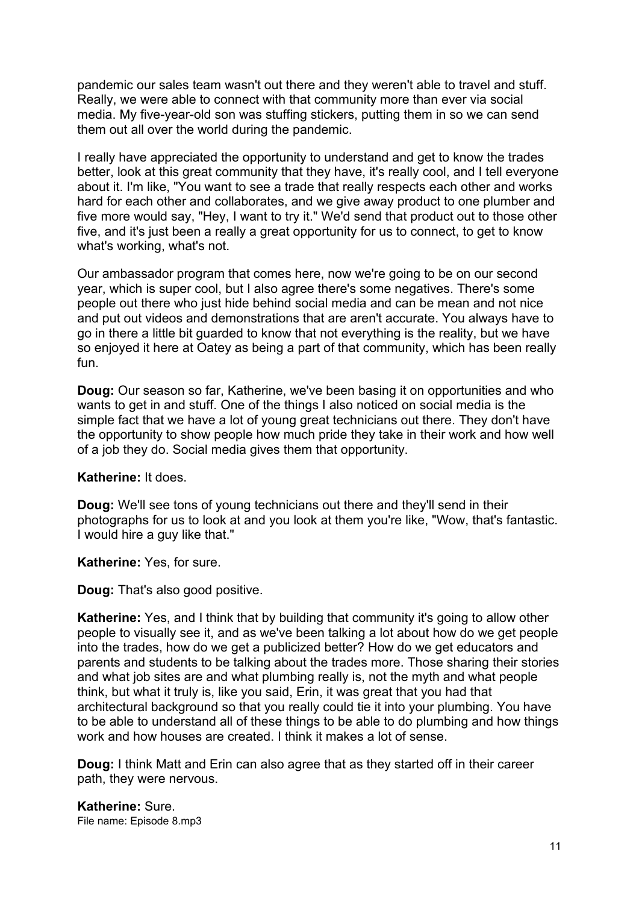pandemic our sales team wasn't out there and they weren't able to travel and stuff. Really, we were able to connect with that community more than ever via social media. My five-year-old son was stuffing stickers, putting them in so we can send them out all over the world during the pandemic.

I really have appreciated the opportunity to understand and get to know the trades better, look at this great community that they have, it's really cool, and I tell everyone about it. I'm like, "You want to see a trade that really respects each other and works hard for each other and collaborates, and we give away product to one plumber and five more would say, "Hey, I want to try it." We'd send that product out to those other five, and it's just been a really a great opportunity for us to connect, to get to know what's working, what's not.

Our ambassador program that comes here, now we're going to be on our second year, which is super cool, but I also agree there's some negatives. There's some people out there who just hide behind social media and can be mean and not nice and put out videos and demonstrations that are aren't accurate. You always have to go in there a little bit guarded to know that not everything is the reality, but we have so enjoyed it here at Oatey as being a part of that community, which has been really fun.

**Doug:** Our season so far, Katherine, we've been basing it on opportunities and who wants to get in and stuff. One of the things I also noticed on social media is the simple fact that we have a lot of young great technicians out there. They don't have the opportunity to show people how much pride they take in their work and how well of a job they do. Social media gives them that opportunity.

#### **Katherine:** It does.

**Doug:** We'll see tons of young technicians out there and they'll send in their photographs for us to look at and you look at them you're like, "Wow, that's fantastic. I would hire a guy like that."

#### **Katherine:** Yes, for sure.

**Doug:** That's also good positive.

**Katherine:** Yes, and I think that by building that community it's going to allow other people to visually see it, and as we've been talking a lot about how do we get people into the trades, how do we get a publicized better? How do we get educators and parents and students to be talking about the trades more. Those sharing their stories and what job sites are and what plumbing really is, not the myth and what people think, but what it truly is, like you said, Erin, it was great that you had that architectural background so that you really could tie it into your plumbing. You have to be able to understand all of these things to be able to do plumbing and how things work and how houses are created. I think it makes a lot of sense.

**Doug:** I think Matt and Erin can also agree that as they started off in their career path, they were nervous.

File name: Episode 8.mp3 **Katherine:** Sure.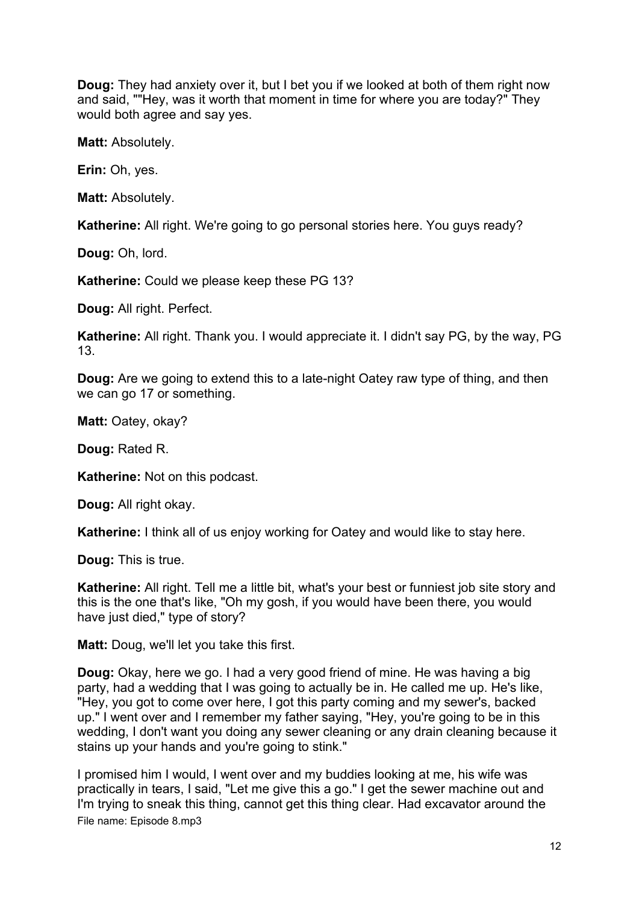**Doug:** They had anxiety over it, but I bet you if we looked at both of them right now and said, ""Hey, was it worth that moment in time for where you are today?" They would both agree and say yes.

**Matt:** Absolutely.

**Erin:** Oh, yes.

**Matt:** Absolutely.

**Katherine:** All right. We're going to go personal stories here. You guys ready?

**Doug:** Oh, lord.

**Katherine:** Could we please keep these PG 13?

**Doug:** All right. Perfect.

**Katherine:** All right. Thank you. I would appreciate it. I didn't say PG, by the way, PG 13.

**Doug:** Are we going to extend this to a late-night Oatey raw type of thing, and then we can go 17 or something.

**Matt:** Oatey, okay?

**Doug:** Rated R.

**Katherine:** Not on this podcast.

**Doug:** All right okay.

**Katherine:** I think all of us enjoy working for Oatey and would like to stay here.

**Doug:** This is true.

**Katherine:** All right. Tell me a little bit, what's your best or funniest job site story and this is the one that's like, "Oh my gosh, if you would have been there, you would have just died," type of story?

**Matt:** Doug, we'll let you take this first.

**Doug:** Okay, here we go. I had a very good friend of mine. He was having a big party, had a wedding that I was going to actually be in. He called me up. He's like, "Hey, you got to come over here, I got this party coming and my sewer's, backed up." I went over and I remember my father saying, "Hey, you're going to be in this wedding, I don't want you doing any sewer cleaning or any drain cleaning because it stains up your hands and you're going to stink."

File name: Episode 8.mp3 I promised him I would, I went over and my buddies looking at me, his wife was practically in tears, I said, "Let me give this a go." I get the sewer machine out and I'm trying to sneak this thing, cannot get this thing clear. Had excavator around the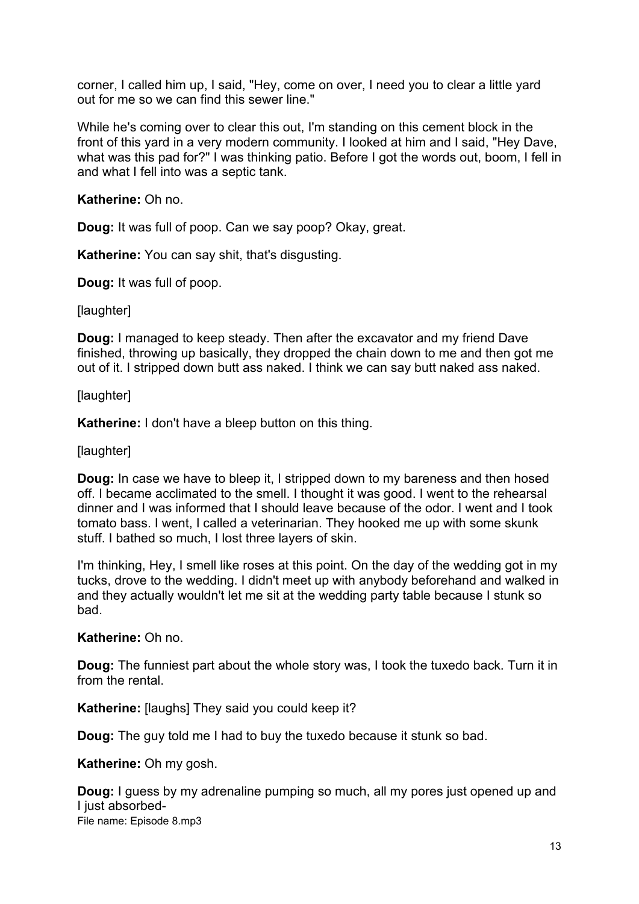corner, I called him up, I said, "Hey, come on over, I need you to clear a little yard out for me so we can find this sewer line."

While he's coming over to clear this out, I'm standing on this cement block in the front of this yard in a very modern community. I looked at him and I said, "Hey Dave, what was this pad for?" I was thinking patio. Before I got the words out, boom, I fell in and what I fell into was a septic tank.

**Katherine:** Oh no.

**Doug:** It was full of poop. Can we say poop? Okay, great.

**Katherine:** You can say shit, that's disgusting.

**Doug:** It was full of poop.

[laughter]

**Doug:** I managed to keep steady. Then after the excavator and my friend Dave finished, throwing up basically, they dropped the chain down to me and then got me out of it. I stripped down butt ass naked. I think we can say butt naked ass naked.

[laughter]

**Katherine:** I don't have a bleep button on this thing.

[laughter]

**Doug:** In case we have to bleep it, I stripped down to my bareness and then hosed off. I became acclimated to the smell. I thought it was good. I went to the rehearsal dinner and I was informed that I should leave because of the odor. I went and I took tomato bass. I went, I called a veterinarian. They hooked me up with some skunk stuff. I bathed so much, I lost three layers of skin.

I'm thinking, Hey, I smell like roses at this point. On the day of the wedding got in my tucks, drove to the wedding. I didn't meet up with anybody beforehand and walked in and they actually wouldn't let me sit at the wedding party table because I stunk so bad.

**Katherine:** Oh no.

**Doug:** The funniest part about the whole story was, I took the tuxedo back. Turn it in from the rental.

**Katherine:** [laughs] They said you could keep it?

**Doug:** The guy told me I had to buy the tuxedo because it stunk so bad.

**Katherine:** Oh my gosh.

File name: Episode 8.mp3 **Doug:** I guess by my adrenaline pumping so much, all my pores just opened up and I just absorbed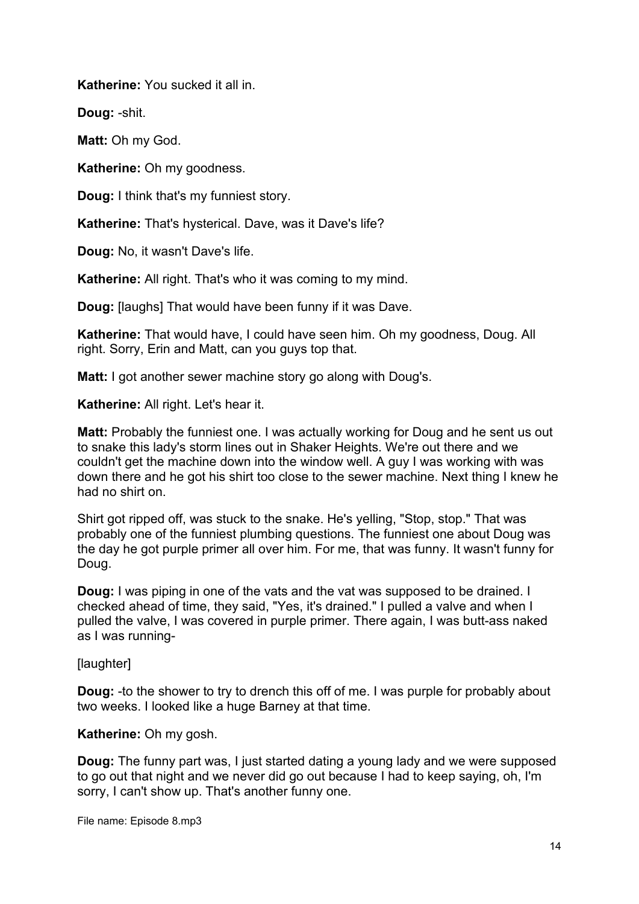**Katherine:** You sucked it all in.

**Doug:** -shit.

**Matt:** Oh my God.

**Katherine:** Oh my goodness.

**Doug:** I think that's my funniest story.

**Katherine:** That's hysterical. Dave, was it Dave's life?

**Doug:** No, it wasn't Dave's life.

**Katherine:** All right. That's who it was coming to my mind.

**Doug:** [laughs] That would have been funny if it was Dave.

**Katherine:** That would have, I could have seen him. Oh my goodness, Doug. All right. Sorry, Erin and Matt, can you guys top that.

**Matt:** I got another sewer machine story go along with Doug's.

**Katherine:** All right. Let's hear it.

**Matt:** Probably the funniest one. I was actually working for Doug and he sent us out to snake this lady's storm lines out in Shaker Heights. We're out there and we couldn't get the machine down into the window well. A guy I was working with was down there and he got his shirt too close to the sewer machine. Next thing I knew he had no shirt on.

Shirt got ripped off, was stuck to the snake. He's yelling, "Stop, stop." That was probably one of the funniest plumbing questions. The funniest one about Doug was the day he got purple primer all over him. For me, that was funny. It wasn't funny for Doug.

**Doug:** I was piping in one of the vats and the vat was supposed to be drained. I checked ahead of time, they said, "Yes, it's drained." I pulled a valve and when I pulled the valve, I was covered in purple primer. There again, I was butt-ass naked as I was running-

[laughter]

**Doug:** -to the shower to try to drench this off of me. I was purple for probably about two weeks. I looked like a huge Barney at that time.

**Katherine:** Oh my gosh.

**Doug:** The funny part was, I just started dating a young lady and we were supposed to go out that night and we never did go out because I had to keep saying, oh, I'm sorry, I can't show up. That's another funny one.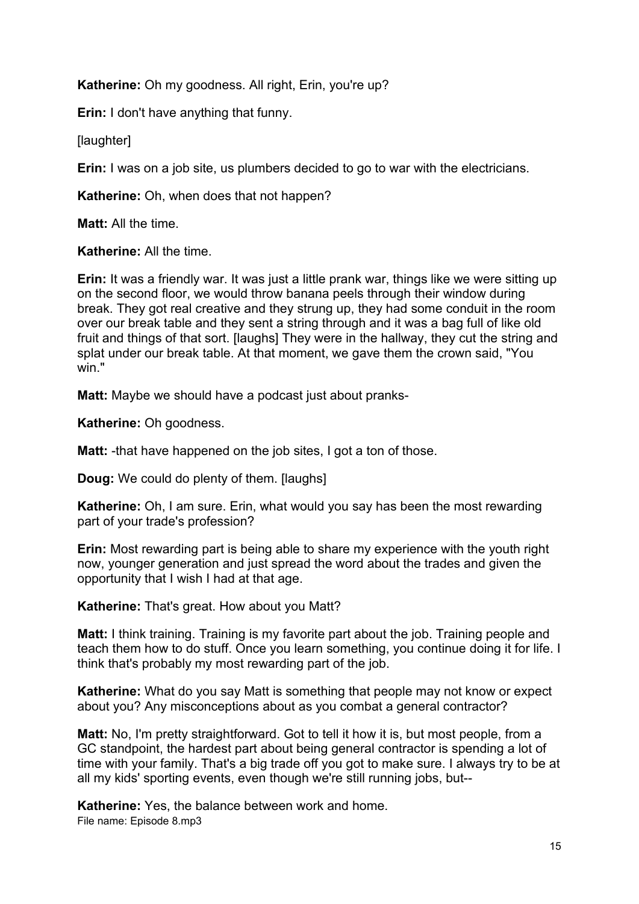**Katherine:** Oh my goodness. All right, Erin, you're up?

**Erin:** I don't have anything that funny.

[laughter]

**Erin:** I was on a job site, us plumbers decided to go to war with the electricians.

**Katherine:** Oh, when does that not happen?

**Matt:** All the time.

**Katherine:** All the time.

**Erin:** It was a friendly war. It was just a little prank war, things like we were sitting up on the second floor, we would throw banana peels through their window during break. They got real creative and they strung up, they had some conduit in the room over our break table and they sent a string through and it was a bag full of like old fruit and things of that sort. [laughs] They were in the hallway, they cut the string and splat under our break table. At that moment, we gave them the crown said, "You win."

**Matt:** Maybe we should have a podcast just about pranks-

**Katherine:** Oh goodness.

**Matt:** -that have happened on the job sites, I got a ton of those.

**Doug:** We could do plenty of them. [laughs]

**Katherine:** Oh, I am sure. Erin, what would you say has been the most rewarding part of your trade's profession?

**Erin:** Most rewarding part is being able to share my experience with the youth right now, younger generation and just spread the word about the trades and given the opportunity that I wish I had at that age.

**Katherine:** That's great. How about you Matt?

**Matt:** I think training. Training is my favorite part about the job. Training people and teach them how to do stuff. Once you learn something, you continue doing it for life. I think that's probably my most rewarding part of the job.

**Katherine:** What do you say Matt is something that people may not know or expect about you? Any misconceptions about as you combat a general contractor?

**Matt:** No, I'm pretty straightforward. Got to tell it how it is, but most people, from a GC standpoint, the hardest part about being general contractor is spending a lot of time with your family. That's a big trade off you got to make sure. I always try to be at all my kids' sporting events, even though we're still running jobs, but--

File name: Episode 8.mp3 **Katherine:** Yes, the balance between work and home.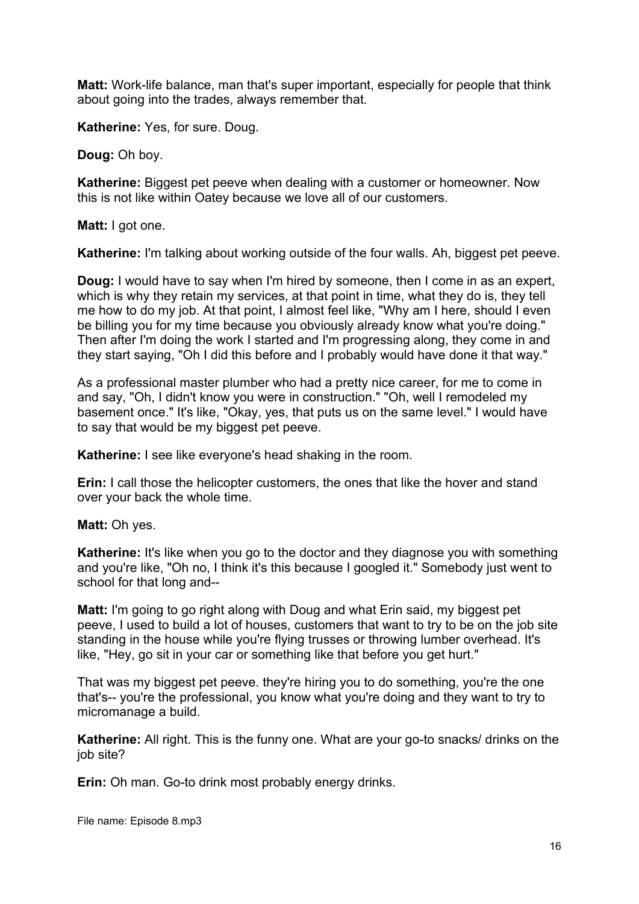**Matt:** Work-life balance, man that's super important, especially for people that think about going into the trades, always remember that.

**Katherine:** Yes, for sure. Doug.

**Doug:** Oh boy.

**Katherine:** Biggest pet peeve when dealing with a customer or homeowner. Now this is not like within Oatey because we love all of our customers.

**Matt:** I got one.

**Katherine:** I'm talking about working outside of the four walls. Ah, biggest pet peeve.

**Doug:** I would have to say when I'm hired by someone, then I come in as an expert, which is why they retain my services, at that point in time, what they do is, they tell me how to do my job. At that point, I almost feel like, "Why am I here, should I even be billing you for my time because you obviously already know what you're doing." Then after I'm doing the work I started and I'm progressing along, they come in and they start saying, "Oh I did this before and I probably would have done it that way."

As a professional master plumber who had a pretty nice career, for me to come in and say, "Oh, I didn't know you were in construction." "Oh, well I remodeled my basement once." It's like, "Okay, yes, that puts us on the same level." I would have to say that would be my biggest pet peeve.

**Katherine:** I see like everyone's head shaking in the room.

**Erin:** I call those the helicopter customers, the ones that like the hover and stand over your back the whole time.

**Matt:** Oh yes.

**Katherine:** It's like when you go to the doctor and they diagnose you with something and you're like, "Oh no, I think it's this because I googled it." Somebody just went to school for that long and--

**Matt:** I'm going to go right along with Doug and what Erin said, my biggest pet peeve, I used to build a lot of houses, customers that want to try to be on the job site standing in the house while you're flying trusses or throwing lumber overhead. It's like, "Hey, go sit in your car or something like that before you get hurt."

That was my biggest pet peeve. they're hiring you to do something, you're the one that's-- you're the professional, you know what you're doing and they want to try to micromanage a build.

**Katherine:** All right. This is the funny one. What are your go-to snacks/ drinks on the job site?

**Erin:** Oh man. Go-to drink most probably energy drinks.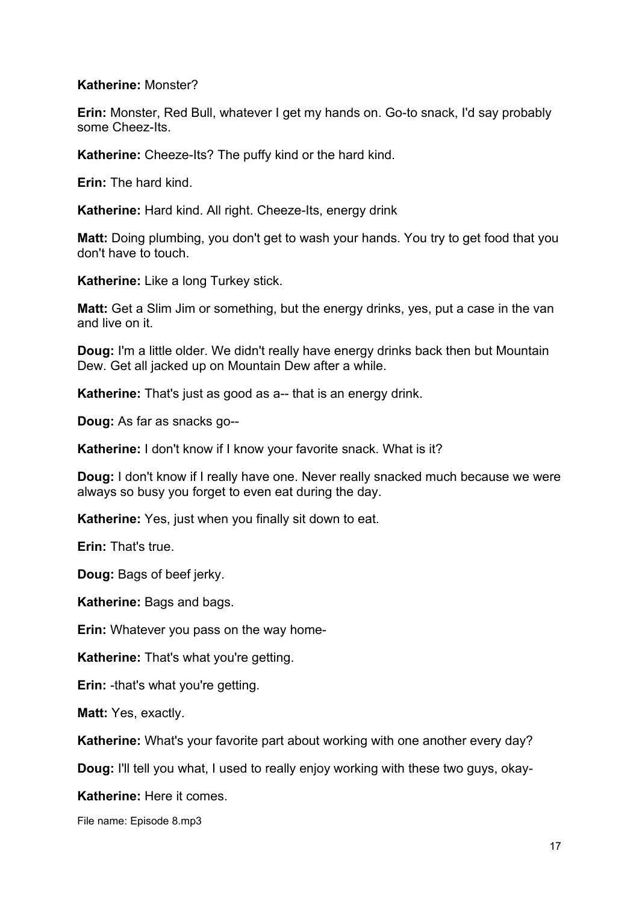## **Katherine:** Monster?

**Erin:** Monster, Red Bull, whatever I get my hands on. Go-to snack, I'd say probably some Cheez-Its.

**Katherine:** Cheeze-Its? The puffy kind or the hard kind.

**Erin:** The hard kind.

**Katherine:** Hard kind. All right. Cheeze-Its, energy drink

**Matt:** Doing plumbing, you don't get to wash your hands. You try to get food that you don't have to touch.

**Katherine:** Like a long Turkey stick.

**Matt:** Get a Slim Jim or something, but the energy drinks, yes, put a case in the van and live on it.

**Doug:** I'm a little older. We didn't really have energy drinks back then but Mountain Dew. Get all jacked up on Mountain Dew after a while.

**Katherine:** That's just as good as a-- that is an energy drink.

**Doug:** As far as snacks go--

**Katherine:** I don't know if I know your favorite snack. What is it?

**Doug:** I don't know if I really have one. Never really snacked much because we were always so busy you forget to even eat during the day.

**Katherine:** Yes, just when you finally sit down to eat.

**Erin:** That's true.

**Doug:** Bags of beef jerky.

**Katherine:** Bags and bags.

**Erin:** Whatever you pass on the way home-

**Katherine:** That's what you're getting.

**Erin:** -that's what you're getting.

**Matt:** Yes, exactly.

**Katherine:** What's your favorite part about working with one another every day?

**Doug:** I'll tell you what, I used to really enjoy working with these two guys, okay-

**Katherine:** Here it comes.